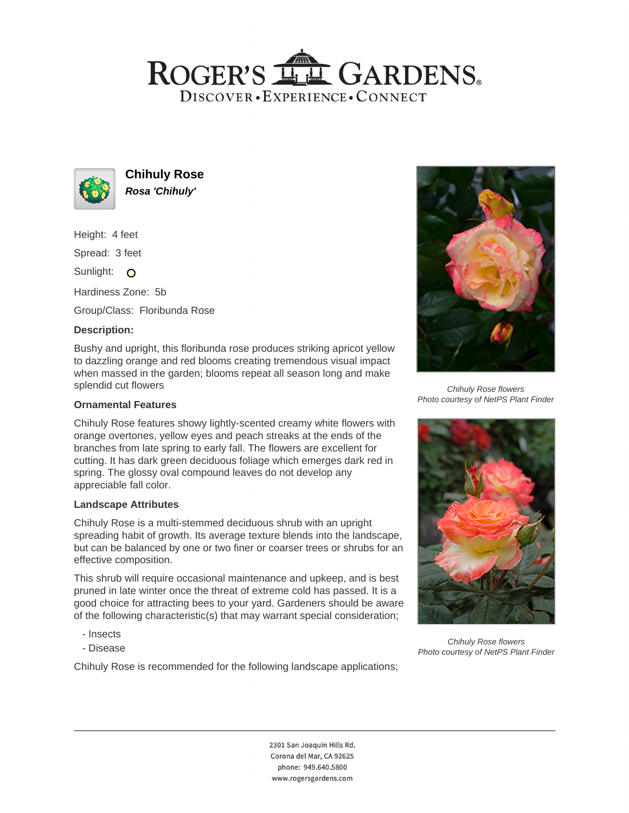# ROGER'S LL GARDENS. DISCOVER · EXPERIENCE · CONNECT



**Chihuly Rose Rosa 'Chihuly'**

Height: 4 feet

Spread: 3 feet

Sunlight: O

Hardiness Zone: 5b

Group/Class: Floribunda Rose

## **Description:**

Bushy and upright, this floribunda rose produces striking apricot yellow to dazzling orange and red blooms creating tremendous visual impact when massed in the garden; blooms repeat all season long and make splendid cut flowers

## **Ornamental Features**

Chihuly Rose features showy lightly-scented creamy white flowers with orange overtones, yellow eyes and peach streaks at the ends of the branches from late spring to early fall. The flowers are excellent for cutting. It has dark green deciduous foliage which emerges dark red in spring. The glossy oval compound leaves do not develop any appreciable fall color.

#### **Landscape Attributes**

Chihuly Rose is a multi-stemmed deciduous shrub with an upright spreading habit of growth. Its average texture blends into the landscape, but can be balanced by one or two finer or coarser trees or shrubs for an effective composition.

This shrub will require occasional maintenance and upkeep, and is best pruned in late winter once the threat of extreme cold has passed. It is a good choice for attracting bees to your yard. Gardeners should be aware of the following characteristic(s) that may warrant special consideration;

- Insects
- Disease

Chihuly Rose is recommended for the following landscape applications;



Chihuly Rose flowers Photo courtesy of NetPS Plant Finder



Chihuly Rose flowers Photo courtesy of NetPS Plant Finder

2301 San Joaquin Hills Rd. Corona del Mar, CA 92625 phone: 949.640.5800 www.rogersgardens.com